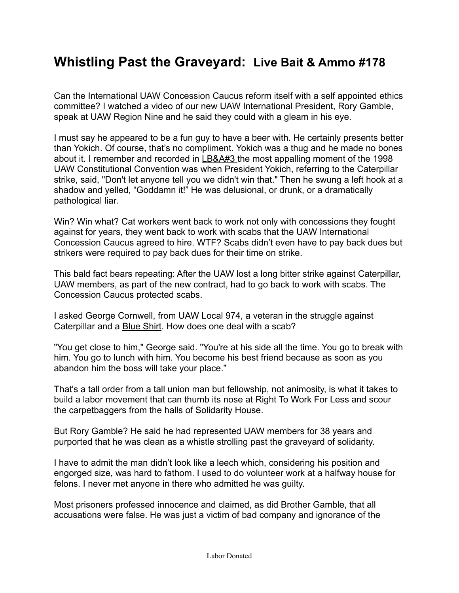## **Whistling Past the Graveyard: Live Bait & Ammo #178**

Can the International UAW Concession Caucus reform itself with a self appointed ethics committee? I watched a video of our new UAW International President, Rory Gamble, speak at UAW Region Nine and he said they could with a gleam in his eye.

I must say he appeared to be a fun guy to have a beer with. He certainly presents better than Yokich. Of course, that's no compliment. Yokich was a thug and he made no bones about it. I remember and recorded in [LB&A#3 t](https://www.greggshotwell.com/livebait)he most appalling moment of the 1998 UAW Constitutional Convention was when President Yokich, referring to the Caterpillar strike, said, "Don't let anyone tell you we didn't win that." Then he swung a left hook at a shadow and yelled, "Goddamn it!" He was delusional, or drunk, or a dramatically pathological liar.

Win? Win what? Cat workers went back to work not only with concessions they fought against for years, they went back to work with scabs that the UAW International Concession Caucus agreed to hire. WTF? Scabs didn't even have to pay back dues but strikers were required to pay back dues for their time on strike.

This bald fact bears repeating: After the UAW lost a long bitter strike against Caterpillar, UAW members, as part of the new contract, had to go back to work with scabs. The Concession Caucus protected scabs.

I asked George Cornwell, from UAW Local 974, a veteran in the struggle against Caterpillar and a [Blue Shirt](https://www.themilitant.com/1999/639/639_24.html). How does one deal with a scab?

"You get close to him," George said. "You're at his side all the time. You go to break with him. You go to lunch with him. You become his best friend because as soon as you abandon him the boss will take your place."

That's a tall order from a tall union man but fellowship, not animosity, is what it takes to build a labor movement that can thumb its nose at Right To Work For Less and scour the carpetbaggers from the halls of Solidarity House.

But Rory Gamble? He said he had represented UAW members for 38 years and purported that he was clean as a whistle strolling past the graveyard of solidarity.

I have to admit the man didn't look like a leech which, considering his position and engorged size, was hard to fathom. I used to do volunteer work at a halfway house for felons. I never met anyone in there who admitted he was guilty.

Most prisoners professed innocence and claimed, as did Brother Gamble, that all accusations were false. He was just a victim of bad company and ignorance of the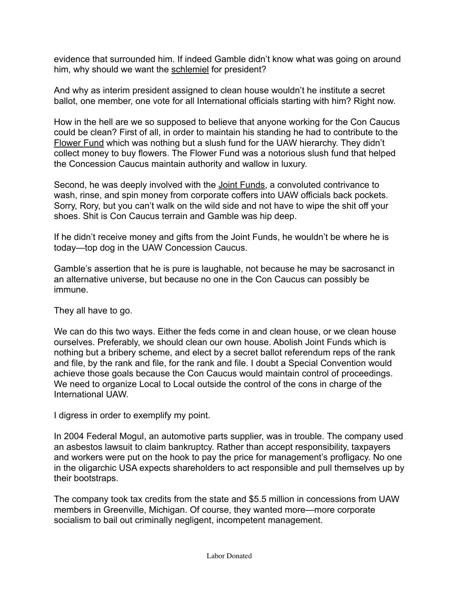evidence that surrounded him. If indeed Gamble didn't know what was going on around him, why should we want the [schlemiel](https://prospect.org/features/comment-schlemiel-schlimazel/) for president?

And why as interim president assigned to clean house wouldn't he institute a secret ballot, one member, one vote for all International officials starting with him? Right now.

How in the hell are we so supposed to believe that anyone working for the Con Caucus could be clean? First of all, in order to maintain his standing he had to contribute to the [Flower Fund](https://www.crainsdetroit.com/automotive/former-uaw-official-pearson-pleads-guilty-agrees-cooperate-corruption-investigation) which was nothing but a slush fund for the UAW hierarchy. They didn't collect money to buy flowers. The Flower Fund was a notorious slush fund that helped the Concession Caucus maintain authority and wallow in luxury.

Second, he was deeply involved with the [Joint Funds,](https://mronline.org/2019/08/19/a-tale-of-corruption-by-the-united-auto-workers-and-the-big-three-american-automakers/) a convoluted contrivance to wash, rinse, and spin money from corporate coffers into UAW officials back pockets. Sorry, Rory, but you can't walk on the wild side and not have to wipe the shit off your shoes. Shit is Con Caucus terrain and Gamble was hip deep.

If he didn't receive money and gifts from the Joint Funds, he wouldn't be where he is today—top dog in the UAW Concession Caucus.

Gamble's assertion that he is pure is laughable, not because he may be sacrosanct in an alternative universe, but because no one in the Con Caucus can possibly be immune.

They all have to go.

We can do this two ways. Either the feds come in and clean house, or we clean house ourselves. Preferably, we should clean our own house. Abolish Joint Funds which is nothing but a bribery scheme, and elect by a secret ballot referendum reps of the rank and file, by the rank and file, for the rank and file. I doubt a Special Convention would achieve those goals because the Con Caucus would maintain control of proceedings. We need to organize Local to Local outside the control of the cons in charge of the International UAW.

I digress in order to exemplify my point.

In 2004 Federal Mogul, an automotive parts supplier, was in trouble. The company used an asbestos lawsuit to claim bankruptcy. Rather than accept responsibility, taxpayers and workers were put on the hook to pay the price for management's profligacy. No one in the oligarchic USA expects shareholders to act responsible and pull themselves up by their bootstraps.

The company took tax credits from the state and \$5.5 million in concessions from UAW members in Greenville, Michigan. Of course, they wanted more—more corporate socialism to bail out criminally negligent, incompetent management.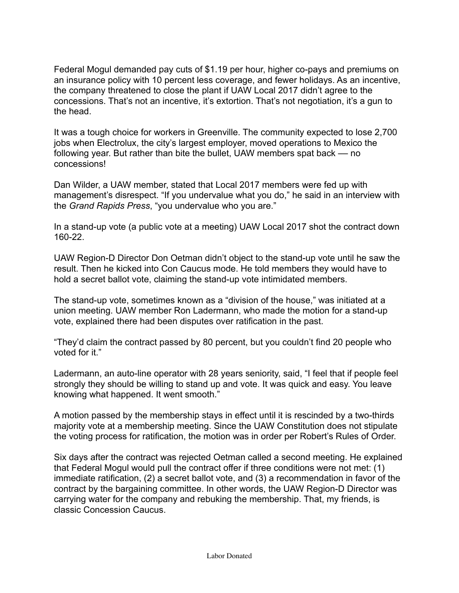Federal Mogul demanded pay cuts of \$1.19 per hour, higher co-pays and premiums on an insurance policy with 10 percent less coverage, and fewer holidays. As an incentive, the company threatened to close the plant if UAW Local 2017 didn't agree to the concessions. That's not an incentive, it's extortion. That's not negotiation, it's a gun to the head.

It was a tough choice for workers in Greenville. The community expected to lose 2,700 jobs when Electrolux, the city's largest employer, moved operations to Mexico the following year. But rather than bite the bullet, UAW members spat back –– no concessions!

Dan Wilder, a UAW member, stated that Local 2017 members were fed up with management's disrespect. "If you undervalue what you do," he said in an interview with the *Grand Rapids Press*, "you undervalue who you are."

In a stand-up vote (a public vote at a meeting) UAW Local 2017 shot the contract down 160-22.

UAW Region-D Director Don Oetman didn't object to the stand-up vote until he saw the result. Then he kicked into Con Caucus mode. He told members they would have to hold a secret ballot vote, claiming the stand-up vote intimidated members.

The stand-up vote, sometimes known as a "division of the house," was initiated at a union meeting. UAW member Ron Ladermann, who made the motion for a stand-up vote, explained there had been disputes over ratification in the past.

"They'd claim the contract passed by 80 percent, but you couldn't find 20 people who voted for it."

Ladermann, an auto-line operator with 28 years seniority, said, "I feel that if people feel strongly they should be willing to stand up and vote. It was quick and easy. You leave knowing what happened. It went smooth."

A motion passed by the membership stays in effect until it is rescinded by a two-thirds majority vote at a membership meeting. Since the UAW Constitution does not stipulate the voting process for ratification, the motion was in order per Robert's Rules of Order.

Six days after the contract was rejected Oetman called a second meeting. He explained that Federal Mogul would pull the contract offer if three conditions were not met: (1) immediate ratification, (2) a secret ballot vote, and (3) a recommendation in favor of the contract by the bargaining committee. In other words, the UAW Region-D Director was carrying water for the company and rebuking the membership. That, my friends, is classic Concession Caucus.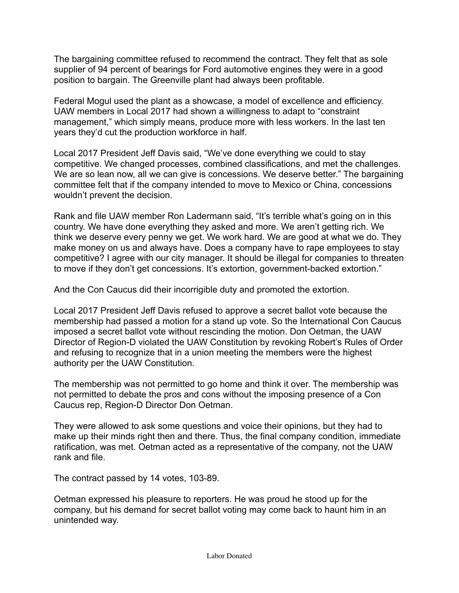The bargaining committee refused to recommend the contract. They felt that as sole supplier of 94 percent of bearings for Ford automotive engines they were in a good position to bargain. The Greenville plant had always been profitable.

Federal Mogul used the plant as a showcase, a model of excellence and efficiency. UAW members in Local 2017 had shown a willingness to adapt to "constraint management," which simply means, produce more with less workers. In the last ten years they'd cut the production workforce in half.

Local 2017 President Jeff Davis said, "We've done everything we could to stay competitive. We changed processes, combined classifications, and met the challenges. We are so lean now, all we can give is concessions. We deserve better." The bargaining committee felt that if the company intended to move to Mexico or China, concessions wouldn't prevent the decision.

Rank and file UAW member Ron Ladermann said, "It's terrible what's going on in this country. We have done everything they asked and more. We aren't getting rich. We think we deserve every penny we get. We work hard. We are good at what we do. They make money on us and always have. Does a company have to rape employees to stay competitive? I agree with our city manager. It should be illegal for companies to threaten to move if they don't get concessions. It's extortion, government-backed extortion."

And the Con Caucus did their incorrigible duty and promoted the extortion.

Local 2017 President Jeff Davis refused to approve a secret ballot vote because the membership had passed a motion for a stand up vote. So the International Con Caucus imposed a secret ballot vote without rescinding the motion. Don Oetman, the UAW Director of Region-D violated the UAW Constitution by revoking Robert's Rules of Order and refusing to recognize that in a union meeting the members were the highest authority per the UAW Constitution.

The membership was not permitted to go home and think it over. The membership was not permitted to debate the pros and cons without the imposing presence of a Con Caucus rep, Region-D Director Don Oetman.

They were allowed to ask some questions and voice their opinions, but they had to make up their minds right then and there. Thus, the final company condition, immediate ratification, was met. Oetman acted as a representative of the company, not the UAW rank and file.

The contract passed by 14 votes, 103-89.

Oetman expressed his pleasure to reporters. He was proud he stood up for the company, but his demand for secret ballot voting may come back to haunt him in an unintended way.